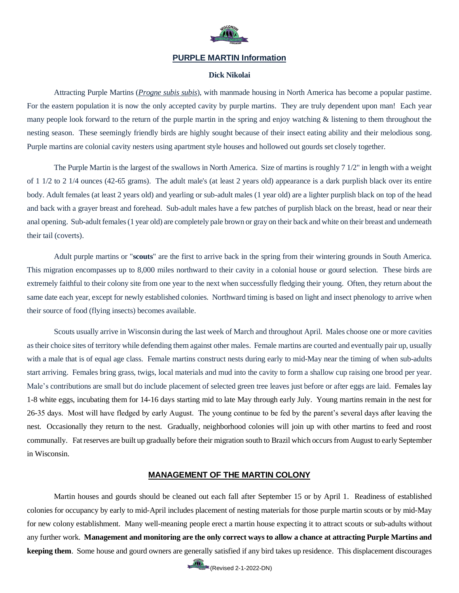

## **PURPLE MARTIN Information**

### **Dick Nikolai**

Attracting Purple Martins (*Progne subis subis*), with manmade housing in North America has become a popular pastime. For the eastern population it is now the only accepted cavity by purple martins. They are truly dependent upon man! Each year many people look forward to the return of the purple martin in the spring and enjoy watching & listening to them throughout the nesting season. These seemingly friendly birds are highly sought because of their insect eating ability and their melodious song. Purple martins are colonial cavity nesters using apartment style houses and hollowed out gourds set closely together.

The Purple Martin is the largest of the swallows in North America. Size of martins is roughly 7 1/2" in length with a weight of 1 1/2 to 2 1/4 ounces (42-65 grams). The adult male's (at least 2 years old) appearance is a dark purplish black over its entire body. Adult females (at least 2 years old) and yearling or sub-adult males (1 year old) are a lighter purplish black on top of the head and back with a grayer breast and forehead. Sub-adult males have a few patches of purplish black on the breast, head or near their anal opening. Sub-adult females (1 year old) are completely pale brown or gray on their back and white on their breast and underneath their tail (coverts).

Adult purple martins or "**scouts**" are the first to arrive back in the spring from their wintering grounds in South America. This migration encompasses up to 8,000 miles northward to their cavity in a colonial house or gourd selection. These birds are extremely faithful to their colony site from one year to the next when successfully fledging their young. Often, they return about the same date each year, except for newly established colonies. Northward timing is based on light and insect phenology to arrive when their source of food (flying insects) becomes available.

Scouts usually arrive in Wisconsin during the last week of March and throughout April. Males choose one or more cavities as their choice sites of territory while defending them against other males. Female martins are courted and eventually pair up, usually with a male that is of equal age class. Female martins construct nests during early to mid-May near the timing of when sub-adults start arriving. Females bring grass, twigs, local materials and mud into the cavity to form a shallow cup raising one brood per year. Male's contributions are small but do include placement of selected green tree leaves just before or after eggs are laid. Females lay 1-8 white eggs, incubating them for 14-16 days starting mid to late May through early July. Young martins remain in the nest for 26-35 days. Most will have fledged by early August. The young continue to be fed by the parent's several days after leaving the nest. Occasionally they return to the nest. Gradually, neighborhood colonies will join up with other martins to feed and roost communally. Fat reserves are built up gradually before their migration south to Brazil which occurs from August to early September in Wisconsin.

## **MANAGEMENT OF THE MARTIN COLONY**

Martin houses and gourds should be cleaned out each fall after September 15 or by April 1. Readiness of established colonies for occupancy by early to mid-April includes placement of nesting materials for those purple martin scouts or by mid-May for new colony establishment. Many well-meaning people erect a martin house expecting it to attract scouts or sub-adults without any further work. **Management and monitoring are the only correct ways to allow a chance at attracting Purple Martins and keeping them**. Some house and gourd owners are generally satisfied if any bird takes up residence. This displacement discourages

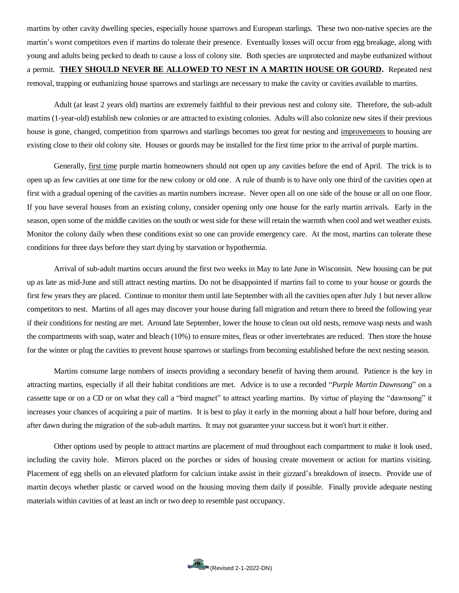martins by other cavity dwelling species, especially house sparrows and European starlings. These two non-native species are the martin's worst competitors even if martins do tolerate their presence. Eventually losses will occur from egg breakage, along with young and adults being pecked to death to cause a loss of colony site. Both species are unprotected and maybe euthanized without a permit. **THEY SHOULD NEVER BE ALLOWED TO NEST IN A MARTIN HOUSE OR GOURD.** Repeated nest removal, trapping or euthanizing house sparrows and starlings are necessary to make the cavity or cavities available to martins.

Adult (at least 2 years old) martins are extremely faithful to their previous nest and colony site. Therefore, the sub-adult martins (1-year-old) establish new colonies or are attracted to existing colonies. Adults will also colonize new sites if their previous house is gone, changed, competition from sparrows and starlings becomes too great for nesting and improvements to housing are existing close to their old colony site. Houses or gourds may be installed for the first time prior to the arrival of purple martins.

Generally, first time purple martin homeowners should not open up any cavities before the end of April. The trick is to open up as few cavities at one time for the new colony or old one. A rule of thumb is to have only one third of the cavities open at first with a gradual opening of the cavities as martin numbers increase. Never open all on one side of the house or all on one floor. If you have several houses from an existing colony, consider opening only one house for the early martin arrivals. Early in the season, open some of the middle cavities on the south or west side for these will retain the warmth when cool and wet weather exists. Monitor the colony daily when these conditions exist so one can provide emergency care. At the most, martins can tolerate these conditions for three days before they start dying by starvation or hypothermia.

Arrival of sub-adult martins occurs around the first two weeks in May to late June in Wisconsin. New housing can be put up as late as mid-June and still attract nesting martins. Do not be disappointed if martins fail to come to your house or gourds the first few years they are placed. Continue to monitor them until late September with all the cavities open after July 1 but never allow competitors to nest. Martins of all ages may discover your house during fall migration and return there to breed the following year if their conditions for nesting are met. Around late September, lower the house to clean out old nests, remove wasp nests and wash the compartments with soap, water and bleach (10%) to ensure mites, fleas or other invertebrates are reduced. Then store the house for the winter or plug the cavities to prevent house sparrows or starlings from becoming established before the next nesting season.

Martins consume large numbers of insects providing a secondary benefit of having them around. Patience is the key in attracting martins, especially if all their habitat conditions are met. Advice is to use a recorded "*Purple Martin Dawnsong*" on a cassette tape or on a CD or on what they call a "bird magnet" to attract yearling martins. By virtue of playing the "dawnsong" it increases your chances of acquiring a pair of martins. It is best to play it early in the morning about a half hour before, during and after dawn during the migration of the sub-adult martins. It may not guarantee your success but it won't hurt it either.

Other options used by people to attract martins are placement of mud throughout each compartment to make it look used, including the cavity hole. Mirrors placed on the porches or sides of housing create movement or action for martins visiting. Placement of egg shells on an elevated platform for calcium intake assist in their gizzard's breakdown of insects. Provide use of martin decoys whether plastic or carved wood on the housing moving them daily if possible. Finally provide adequate nesting materials within cavities of at least an inch or two deep to resemble past occupancy.

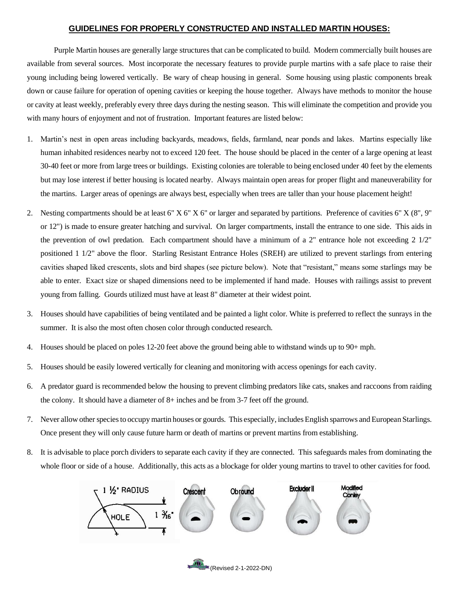## **GUIDELINES FOR PROPERLY CONSTRUCTED AND INSTALLED MARTIN HOUSES:**

Purple Martin houses are generally large structures that can be complicated to build. Modern commercially built houses are available from several sources. Most incorporate the necessary features to provide purple martins with a safe place to raise their young including being lowered vertically. Be wary of cheap housing in general. Some housing using plastic components break down or cause failure for operation of opening cavities or keeping the house together. Always have methods to monitor the house or cavity at least weekly, preferably every three days during the nesting season. This will eliminate the competition and provide you with many hours of enjoyment and not of frustration. Important features are listed below:

- 1. Martin's nest in open areas including backyards, meadows, fields, farmland, near ponds and lakes. Martins especially like human inhabited residences nearby not to exceed 120 feet. The house should be placed in the center of a large opening at least 30-40 feet or more from large trees or buildings. Existing colonies are tolerable to being enclosed under 40 feet by the elements but may lose interest if better housing is located nearby. Always maintain open areas for proper flight and maneuverability for the martins. Larger areas of openings are always best, especially when trees are taller than your house placement height!
- 2. Nesting compartments should be at least 6" X 6" X 6" or larger and separated by partitions. Preference of cavities 6" X (8", 9" or 12") is made to ensure greater hatching and survival. On larger compartments, install the entrance to one side. This aids in the prevention of owl predation. Each compartment should have a minimum of a 2" entrance hole not exceeding 2 1/2" positioned 1 1/2" above the floor. Starling Resistant Entrance Holes (SREH) are utilized to prevent starlings from entering cavities shaped liked crescents, slots and bird shapes (see picture below). Note that "resistant," means some starlings may be able to enter. Exact size or shaped dimensions need to be implemented if hand made. Houses with railings assist to prevent young from falling. Gourds utilized must have at least 8" diameter at their widest point.
- 3. Houses should have capabilities of being ventilated and be painted a light color. White is preferred to reflect the sunrays in the summer. It is also the most often chosen color through conducted research.
- 4. Houses should be placed on poles 12-20 feet above the ground being able to withstand winds up to 90+ mph.
- 5. Houses should be easily lowered vertically for cleaning and monitoring with access openings for each cavity.
- 6. A predator guard is recommended below the housing to prevent climbing predators like cats, snakes and raccoons from raiding the colony. It should have a diameter of 8+ inches and be from 3-7 feet off the ground.
- 7. Never allow other species to occupy martin houses or gourds. This especially, includes English sparrows and European Starlings. Once present they will only cause future harm or death of martins or prevent martins from establishing.
- 8. It is advisable to place porch dividers to separate each cavity if they are connected. This safeguards males from dominating the whole floor or side of a house. Additionally, this acts as a blockage for older young martins to travel to other cavities for food.